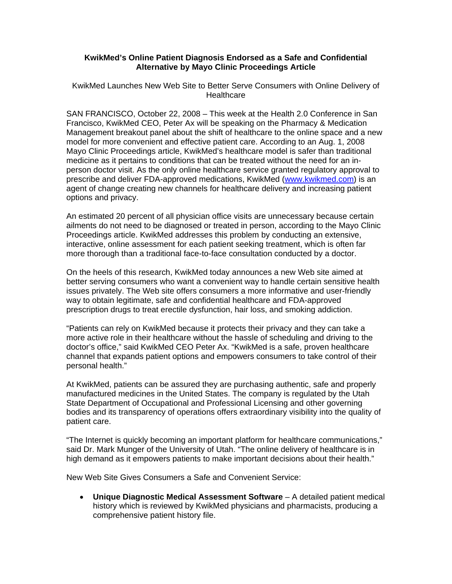## **KwikMed's Online Patient Diagnosis Endorsed as a Safe and Confidential Alternative by Mayo Clinic Proceedings Article**

## KwikMed Launches New Web Site to Better Serve Consumers with Online Delivery of Healthcare

SAN FRANCISCO, October 22, 2008 – This week at the Health 2.0 Conference in San Francisco, KwikMed CEO, Peter Ax will be speaking on the Pharmacy & Medication Management breakout panel about the shift of healthcare to the online space and a new model for more convenient and effective patient care. According to an Aug. 1, 2008 Mayo Clinic Proceedings article, KwikMed's healthcare model is safer than traditional medicine as it pertains to conditions that can be treated without the need for an inperson doctor visit. As the only online healthcare service granted regulatory approval to prescribe and deliver FDA-approved medications, KwikMed ([www.kwikmed.com](http://www.kwikmed.com/)) is an agent of change creating new channels for healthcare delivery and increasing patient options and privacy.

An estimated 20 percent of all physician office visits are unnecessary because certain ailments do not need to be diagnosed or treated in person, according to the Mayo Clinic Proceedings article. KwikMed addresses this problem by conducting an extensive, interactive, online assessment for each patient seeking treatment, which is often far more thorough than a traditional face-to-face consultation conducted by a doctor.

On the heels of this research, KwikMed today announces a new Web site aimed at better serving consumers who want a convenient way to handle certain sensitive health issues privately. The Web site offers consumers a more informative and user-friendly way to obtain legitimate, safe and confidential healthcare and FDA-approved prescription drugs to treat erectile dysfunction, hair loss, and smoking addiction.

"Patients can rely on KwikMed because it protects their privacy and they can take a more active role in their healthcare without the hassle of scheduling and driving to the doctor's office," said KwikMed CEO Peter Ax. "KwikMed is a safe, proven healthcare channel that expands patient options and empowers consumers to take control of their personal health."

At KwikMed, patients can be assured they are purchasing authentic, safe and properly manufactured medicines in the United States. The company is regulated by the Utah State Department of Occupational and Professional Licensing and other governing bodies and its transparency of operations offers extraordinary visibility into the quality of patient care.

"The Internet is quickly becoming an important platform for healthcare communications," said Dr. Mark Munger of the University of Utah. "The online delivery of healthcare is in high demand as it empowers patients to make important decisions about their health."

New Web Site Gives Consumers a Safe and Convenient Service:

• **Unique Diagnostic Medical Assessment Software** – A detailed patient medical history which is reviewed by KwikMed physicians and pharmacists, producing a comprehensive patient history file.